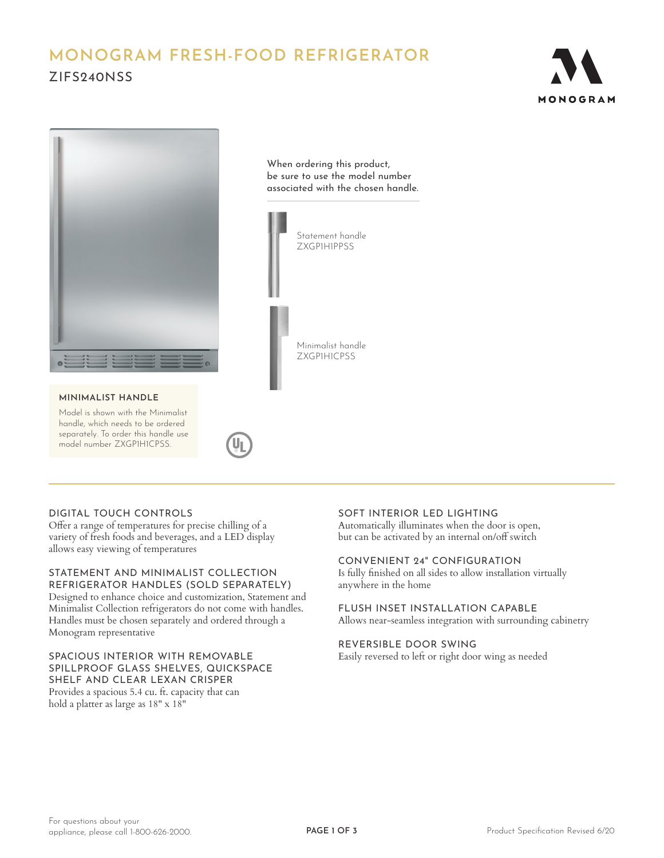# **MONOGRAM FRESH-FOOD REFRIGERATOR** ZIFS240NSS





#### **MINIMALIST HANDLE**

Model is shown with the Minimalist handle, which needs to be ordered separately. To order this handle use model number ZXGP1H1CPSS.

When ordering this product, be sure to use the model number associated with the chosen handle.



## DIGITAL TOUCH CONTROLS

Offer a range of temperatures for precise chilling of a variety of fresh foods and beverages, and a LED display allows easy viewing of temperatures

STATEMENT AND MINIMALIST COLLECTION REFRIGERATOR HANDLES (SOLD SEPARATELY) Designed to enhance choice and customization, Statement and Minimalist Collection refrigerators do not come with handles. Handles must be chosen separately and ordered through a Monogram representative

### SPACIOUS INTERIOR WITH REMOVABLE SPILLPROOF GLASS SHELVES, QUICKSPACE SHELF AND CLEAR LEXAN CRISPER

Provides a spacious 5.4 cu. ft. capacity that can hold a platter as large as 18" x 18"

# SOFT INTERIOR LED LIGHTING

Automatically illuminates when the door is open, but can be activated by an internal on/off switch

### CONVENIENT 24" CONFIGURATION

Is fully finished on all sides to allow installation virtually anywhere in the home

# FLUSH INSET INSTALLATION CAPABLE

Allows near-seamless integration with surrounding cabinetry

# REVERSIBLE DOOR SWING

Easily reversed to left or right door wing as needed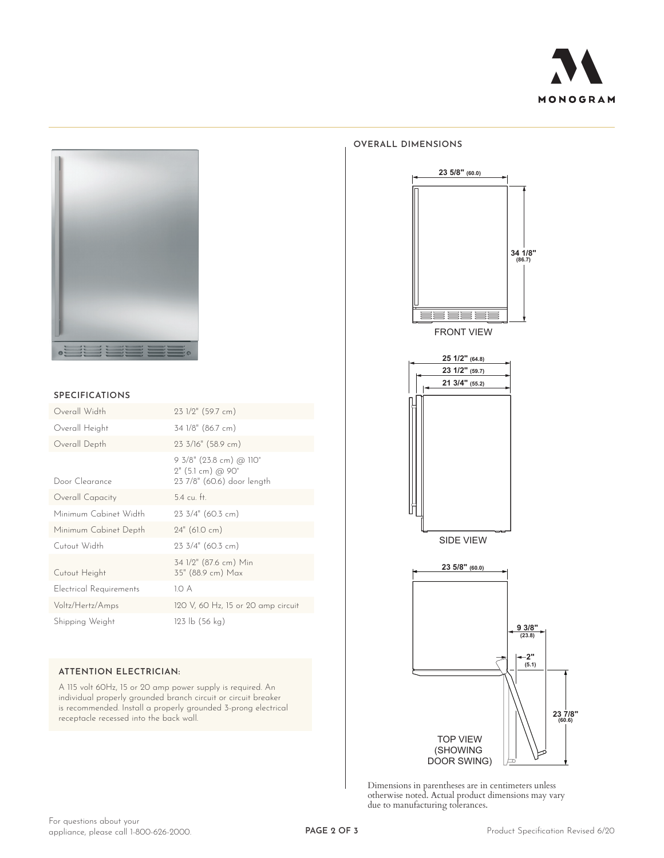



#### **SPECIFICATIONS**

| Overall Width           | 23 1/2" (59.7 cm)                                                                                    |
|-------------------------|------------------------------------------------------------------------------------------------------|
| Overall Height          | 34 1/8" (86.7 cm)                                                                                    |
| Overall Depth           | 23 3/16" (58.9 cm)                                                                                   |
| Door Clearance          | 9 3/8" (23.8 cm) @ 110°<br>$2^{\prime\prime}$ (5.1 cm) @ 90 $^{\circ}$<br>23 7/8" (60.6) door length |
| Overall Capacity        | $5.4 \text{ cu}$ . ft.                                                                               |
| Minimum Cabinet Width   | $23 \frac{3}{4}$ " (60.3 cm)                                                                         |
| Minimum Cabinet Depth   | $24"$ (61.0 cm)                                                                                      |
| Cutout Width            | $23 \frac{3}{4}$ " (60.3 cm)                                                                         |
| Cutout Height           | 34 1/2" (87.6 cm) Min<br>35" (88.9 cm) Max                                                           |
| Electrical Requirements | 1.O A                                                                                                |
| Voltz/Hertz/Amps        | 120 V, 60 Hz, 15 or 20 amp circuit                                                                   |
| Shipping Weight         | $123 \text{ lb} (56 \text{ kg})$                                                                     |

### **ATTENTION ELECTRICIAN:**

A 115 volt 60Hz, 15 or 20 amp power supply is required. An individual properly grounded branch circuit or circuit breaker is recommended. Install a properly grounded 3-prong electrical receptacle recessed into the back wall.

#### **OVERALL DIMENSIONS**



FRONT VIEW





Dimensions in parentheses are in centimeters unless otherwise noted. Actual product dimensions may vary due to manufacturing tolerances.